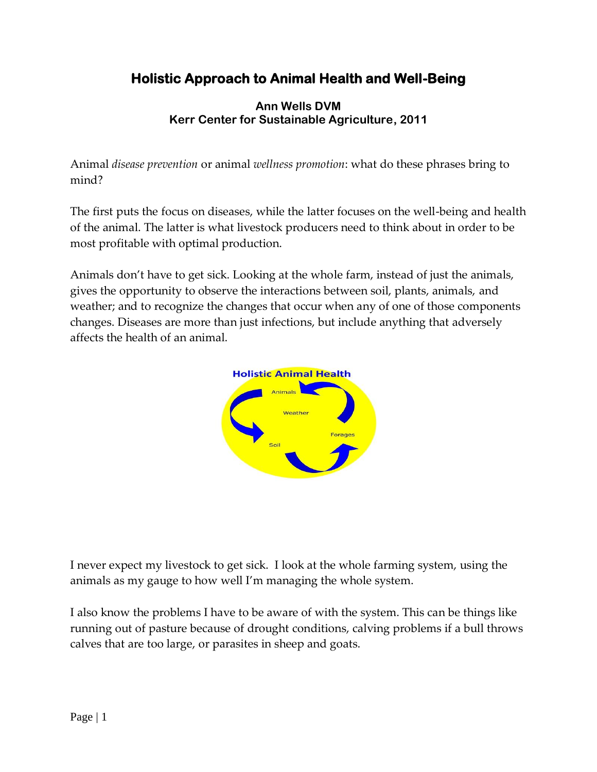# **Holistic Approach to Animal Health and Well-Being**

## **Ann Wells DVM Kerr Center for Sustainable Agriculture, 2011**

Animal *disease prevention* or animal *wellness promotion*: what do these phrases bring to mind?

The first puts the focus on diseases, while the latter focuses on the well-being and health of the animal. The latter is what livestock producers need to think about in order to be most profitable with optimal production.

Animals don't have to get sick. Looking at the whole farm, instead of just the animals, gives the opportunity to observe the interactions between soil, plants, animals, and weather; and to recognize the changes that occur when any of one of those components changes. Diseases are more than just infections, but include anything that adversely affects the health of an animal.



I never expect my livestock to get sick. I look at the whole farming system, using the animals as my gauge to how well I'm managing the whole system.

I also know the problems I have to be aware of with the system. This can be things like running out of pasture because of drought conditions, calving problems if a bull throws calves that are too large, or parasites in sheep and goats.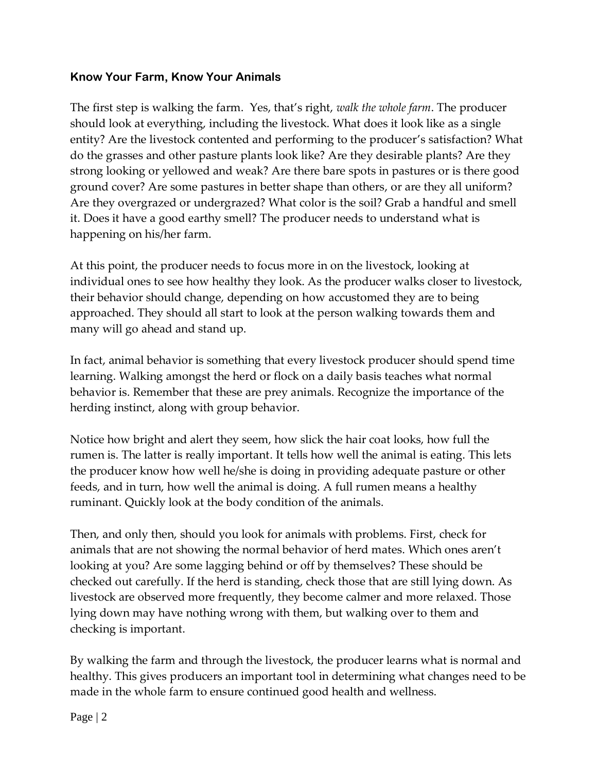## **Know Your Farm, Know Your Animals**

The first step is walking the farm. Yes, that's right, *walk the whole farm*. The producer should look at everything, including the livestock. What does it look like as a single entity? Are the livestock contented and performing to the producer's satisfaction? What do the grasses and other pasture plants look like? Are they desirable plants? Are they strong looking or yellowed and weak? Are there bare spots in pastures or is there good ground cover? Are some pastures in better shape than others, or are they all uniform? Are they overgrazed or undergrazed? What color is the soil? Grab a handful and smell it. Does it have a good earthy smell? The producer needs to understand what is happening on his/her farm.

At this point, the producer needs to focus more in on the livestock, looking at individual ones to see how healthy they look. As the producer walks closer to livestock, their behavior should change, depending on how accustomed they are to being approached. They should all start to look at the person walking towards them and many will go ahead and stand up.

In fact, animal behavior is something that every livestock producer should spend time learning. Walking amongst the herd or flock on a daily basis teaches what normal behavior is. Remember that these are prey animals. Recognize the importance of the herding instinct, along with group behavior.

Notice how bright and alert they seem, how slick the hair coat looks, how full the rumen is. The latter is really important. It tells how well the animal is eating. This lets the producer know how well he/she is doing in providing adequate pasture or other feeds, and in turn, how well the animal is doing. A full rumen means a healthy ruminant. Quickly look at the body condition of the animals.

Then, and only then, should you look for animals with problems. First, check for animals that are not showing the normal behavior of herd mates. Which ones aren't looking at you? Are some lagging behind or off by themselves? These should be checked out carefully. If the herd is standing, check those that are still lying down. As livestock are observed more frequently, they become calmer and more relaxed. Those lying down may have nothing wrong with them, but walking over to them and checking is important.

By walking the farm and through the livestock, the producer learns what is normal and healthy. This gives producers an important tool in determining what changes need to be made in the whole farm to ensure continued good health and wellness.

Page | 2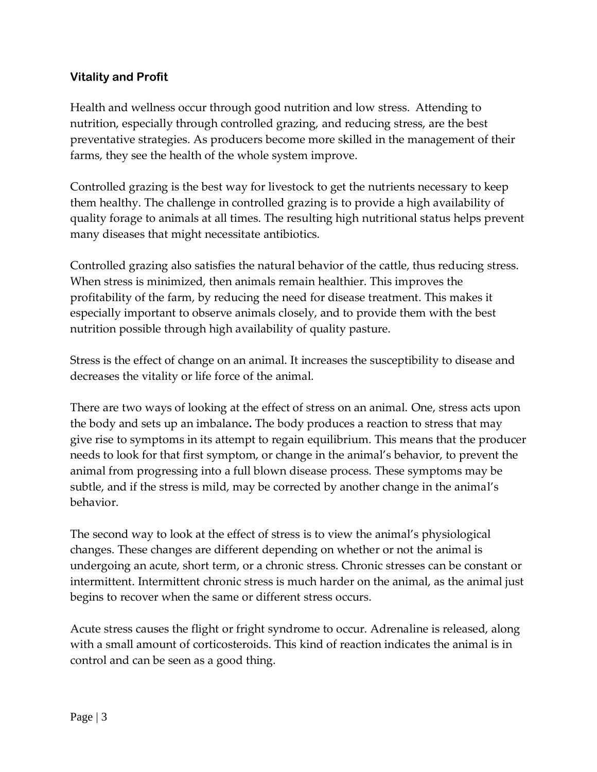# **Vitality and Profit**

Health and wellness occur through good nutrition and low stress. Attending to nutrition, especially through controlled grazing, and reducing stress, are the best preventative strategies. As producers become more skilled in the management of their farms, they see the health of the whole system improve.

Controlled grazing is the best way for livestock to get the nutrients necessary to keep them healthy. The challenge in controlled grazing is to provide a high availability of quality forage to animals at all times. The resulting high nutritional status helps prevent many diseases that might necessitate antibiotics.

Controlled grazing also satisfies the natural behavior of the cattle, thus reducing stress. When stress is minimized, then animals remain healthier. This improves the profitability of the farm, by reducing the need for disease treatment. This makes it especially important to observe animals closely, and to provide them with the best nutrition possible through high availability of quality pasture.

Stress is the effect of change on an animal. It increases the susceptibility to disease and decreases the vitality or life force of the animal.

There are two ways of looking at the effect of stress on an animal. One, stress acts upon the body and sets up an imbalance**.** The body produces a reaction to stress that may give rise to symptoms in its attempt to regain equilibrium. This means that the producer needs to look for that first symptom, or change in the animal's behavior, to prevent the animal from progressing into a full blown disease process. These symptoms may be subtle, and if the stress is mild, may be corrected by another change in the animal's behavior.

The second way to look at the effect of stress is to view the animal's physiological changes. These changes are different depending on whether or not the animal is undergoing an acute, short term, or a chronic stress. Chronic stresses can be constant or intermittent. Intermittent chronic stress is much harder on the animal, as the animal just begins to recover when the same or different stress occurs.

Acute stress causes the flight or fright syndrome to occur. Adrenaline is released, along with a small amount of corticosteroids. This kind of reaction indicates the animal is in control and can be seen as a good thing.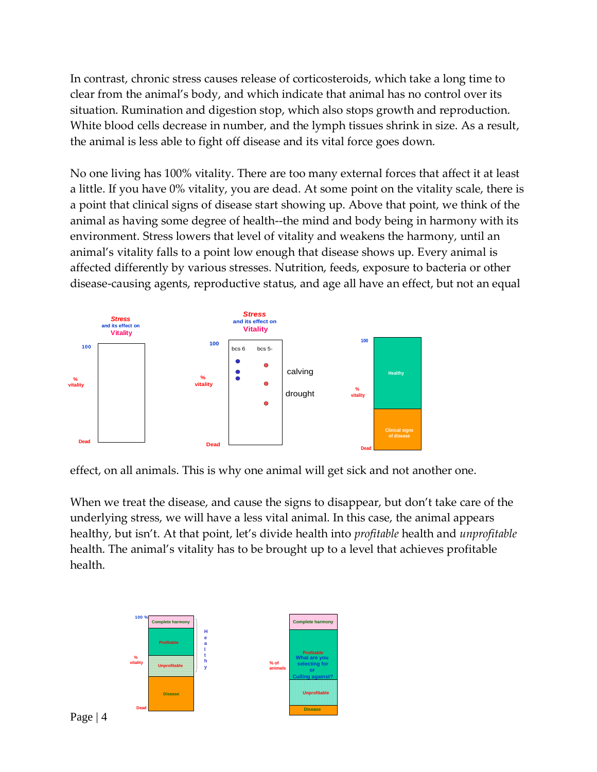In contrast, chronic stress causes release of corticosteroids, which take a long time to clear from the animal's body, and which indicate that animal has no control over its situation. Rumination and digestion stop, which also stops growth and reproduction. White blood cells decrease in number, and the lymph tissues shrink in size. As a result, the animal is less able to fight off disease and its vital force goes down.

No one living has 100% vitality. There are too many external forces that affect it at least a little. If you have 0% vitality, you are dead. At some point on the vitality scale, there is a point that clinical signs of disease start showing up. Above that point, we think of the animal as having some degree of health--the mind and body being in harmony with its environment. Stress lowers that level of vitality and weakens the harmony, until an animal's vitality falls to a point low enough that disease shows up. Every animal is affected differently by various stresses. Nutrition, feeds, exposure to bacteria or other disease-causing agents, reproductive status, and age all have an effect, but not an equal



effect, on all animals. This is why one animal will get sick and not another one.

When we treat the disease, and cause the signs to disappear, but don't take care of the underlying stress, we will have a less vital animal. In this case, the animal appears healthy, but isn't. At that point, let's divide health into *profitable* health and *unprofitable* health. The animal's vitality has to be brought up to a level that achieves profitable health.

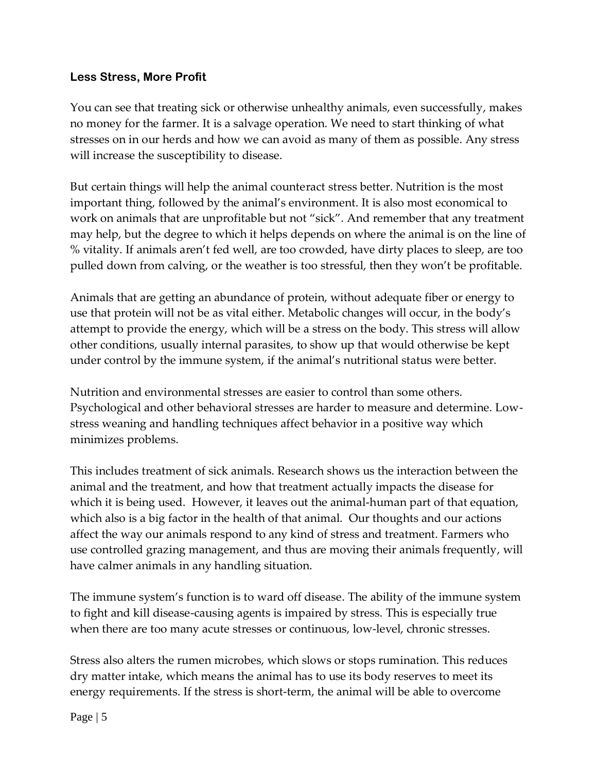# **Less Stress, More Profit**

You can see that treating sick or otherwise unhealthy animals, even successfully, makes no money for the farmer. It is a salvage operation. We need to start thinking of what stresses on in our herds and how we can avoid as many of them as possible. Any stress will increase the susceptibility to disease.

But certain things will help the animal counteract stress better. Nutrition is the most important thing, followed by the animal's environment. It is also most economical to work on animals that are unprofitable but not "sick". And remember that any treatment may help, but the degree to which it helps depends on where the animal is on the line of % vitality. If animals aren't fed well, are too crowded, have dirty places to sleep, are too pulled down from calving, or the weather is too stressful, then they won't be profitable.

Animals that are getting an abundance of protein, without adequate fiber or energy to use that protein will not be as vital either. Metabolic changes will occur, in the body's attempt to provide the energy, which will be a stress on the body. This stress will allow other conditions, usually internal parasites, to show up that would otherwise be kept under control by the immune system, if the animal's nutritional status were better.

Nutrition and environmental stresses are easier to control than some others. Psychological and other behavioral stresses are harder to measure and determine. Lowstress weaning and handling techniques affect behavior in a positive way which minimizes problems.

This includes treatment of sick animals. Research shows us the interaction between the animal and the treatment, and how that treatment actually impacts the disease for which it is being used. However, it leaves out the animal-human part of that equation, which also is a big factor in the health of that animal. Our thoughts and our actions affect the way our animals respond to any kind of stress and treatment. Farmers who use controlled grazing management, and thus are moving their animals frequently, will have calmer animals in any handling situation.

The immune system's function is to ward off disease. The ability of the immune system to fight and kill disease-causing agents is impaired by stress. This is especially true when there are too many acute stresses or continuous, low-level, chronic stresses.

Stress also alters the rumen microbes, which slows or stops rumination. This reduces dry matter intake, which means the animal has to use its body reserves to meet its energy requirements. If the stress is short-term, the animal will be able to overcome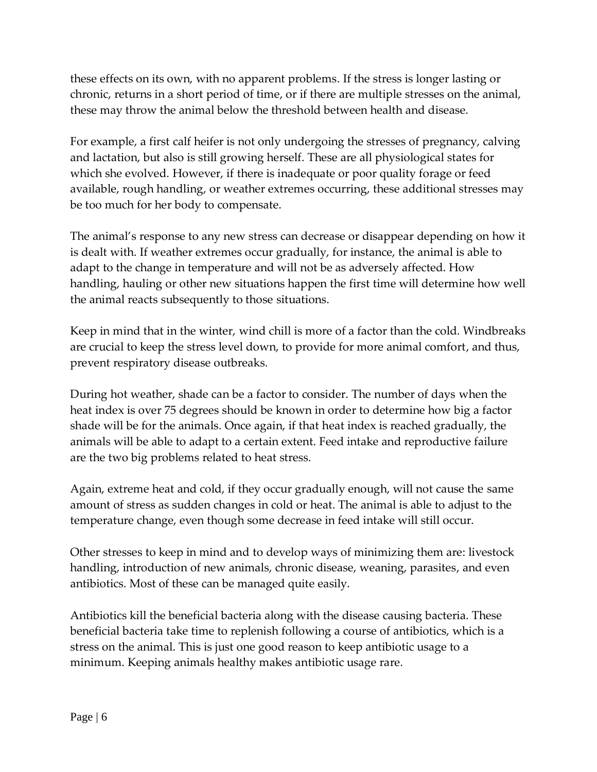these effects on its own, with no apparent problems. If the stress is longer lasting or chronic, returns in a short period of time, or if there are multiple stresses on the animal, these may throw the animal below the threshold between health and disease.

For example, a first calf heifer is not only undergoing the stresses of pregnancy, calving and lactation, but also is still growing herself. These are all physiological states for which she evolved. However, if there is inadequate or poor quality forage or feed available, rough handling, or weather extremes occurring, these additional stresses may be too much for her body to compensate.

The animal's response to any new stress can decrease or disappear depending on how it is dealt with. If weather extremes occur gradually, for instance, the animal is able to adapt to the change in temperature and will not be as adversely affected. How handling, hauling or other new situations happen the first time will determine how well the animal reacts subsequently to those situations.

Keep in mind that in the winter, wind chill is more of a factor than the cold. Windbreaks are crucial to keep the stress level down, to provide for more animal comfort, and thus, prevent respiratory disease outbreaks.

During hot weather, shade can be a factor to consider. The number of days when the heat index is over 75 degrees should be known in order to determine how big a factor shade will be for the animals. Once again, if that heat index is reached gradually, the animals will be able to adapt to a certain extent. Feed intake and reproductive failure are the two big problems related to heat stress.

Again, extreme heat and cold, if they occur gradually enough, will not cause the same amount of stress as sudden changes in cold or heat. The animal is able to adjust to the temperature change, even though some decrease in feed intake will still occur.

Other stresses to keep in mind and to develop ways of minimizing them are: livestock handling, introduction of new animals, chronic disease, weaning, parasites, and even antibiotics. Most of these can be managed quite easily.

Antibiotics kill the beneficial bacteria along with the disease causing bacteria. These beneficial bacteria take time to replenish following a course of antibiotics, which is a stress on the animal. This is just one good reason to keep antibiotic usage to a minimum. Keeping animals healthy makes antibiotic usage rare.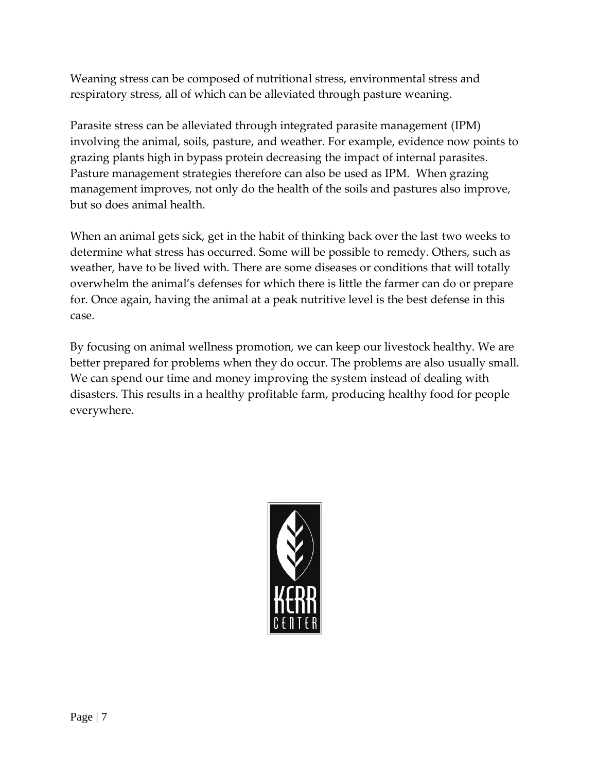Weaning stress can be composed of nutritional stress, environmental stress and respiratory stress, all of which can be alleviated through pasture weaning.

Parasite stress can be alleviated through integrated parasite management (IPM) involving the animal, soils, pasture, and weather. For example, evidence now points to grazing plants high in bypass protein decreasing the impact of internal parasites. Pasture management strategies therefore can also be used as IPM. When grazing management improves, not only do the health of the soils and pastures also improve, but so does animal health.

When an animal gets sick, get in the habit of thinking back over the last two weeks to determine what stress has occurred. Some will be possible to remedy. Others, such as weather, have to be lived with. There are some diseases or conditions that will totally overwhelm the animal's defenses for which there is little the farmer can do or prepare for. Once again, having the animal at a peak nutritive level is the best defense in this case.

By focusing on animal wellness promotion, we can keep our livestock healthy. We are better prepared for problems when they do occur. The problems are also usually small. We can spend our time and money improving the system instead of dealing with disasters. This results in a healthy profitable farm, producing healthy food for people everywhere.